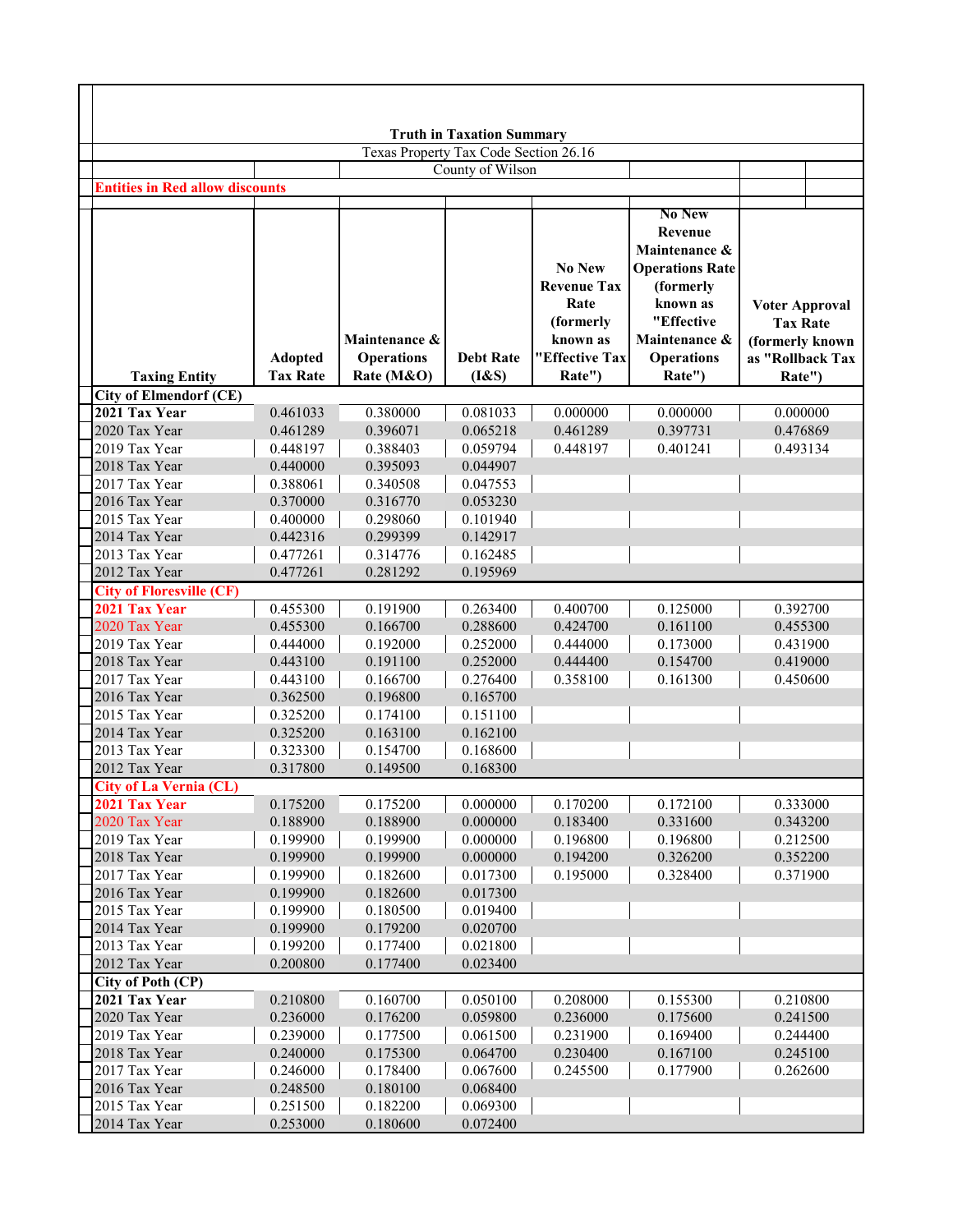|                                        |                                   |                                                  | <b>Truth in Taxation Summary</b> |                                                                                                  |                                                                                                                                                            |                                                                                           |
|----------------------------------------|-----------------------------------|--------------------------------------------------|----------------------------------|--------------------------------------------------------------------------------------------------|------------------------------------------------------------------------------------------------------------------------------------------------------------|-------------------------------------------------------------------------------------------|
|                                        |                                   | Texas Property Tax Code Section 26.16            |                                  |                                                                                                  |                                                                                                                                                            |                                                                                           |
|                                        |                                   |                                                  | County of Wilson                 |                                                                                                  |                                                                                                                                                            |                                                                                           |
| <b>Entities in Red allow discounts</b> |                                   |                                                  |                                  |                                                                                                  |                                                                                                                                                            |                                                                                           |
| <b>Taxing Entity</b>                   | <b>Adopted</b><br><b>Tax Rate</b> | Maintenance &<br><b>Operations</b><br>Rate (M&O) | <b>Debt Rate</b><br>$(I\&S)$     | <b>No New</b><br><b>Revenue Tax</b><br>Rate<br>(formerly<br>known as<br>"Effective Tax<br>Rate") | <b>No New</b><br>Revenue<br>Maintenance &<br><b>Operations Rate</b><br>(formerly<br>known as<br>"Effective<br>Maintenance &<br><b>Operations</b><br>Rate") | <b>Voter Approval</b><br><b>Tax Rate</b><br>(formerly known<br>as "Rollback Tax<br>Rate") |
| <b>City of Elmendorf (CE)</b>          |                                   |                                                  |                                  |                                                                                                  |                                                                                                                                                            |                                                                                           |
| 2021 Tax Year                          | 0.461033                          | 0.380000                                         | 0.081033                         | 0.000000                                                                                         | 0.000000                                                                                                                                                   | 0.000000                                                                                  |
| 2020 Tax Year                          | 0.461289                          | 0.396071                                         | 0.065218                         | 0.461289                                                                                         | 0.397731                                                                                                                                                   | 0.476869                                                                                  |
| 2019 Tax Year                          | 0.448197                          | 0.388403                                         | 0.059794                         | 0.448197                                                                                         | 0.401241                                                                                                                                                   | 0.493134                                                                                  |
| 2018 Tax Year<br>2017 Tax Year         | 0.440000<br>0.388061              | 0.395093                                         | 0.044907                         |                                                                                                  |                                                                                                                                                            |                                                                                           |
| 2016 Tax Year                          | 0.370000                          | 0.340508<br>0.316770                             | 0.047553<br>0.053230             |                                                                                                  |                                                                                                                                                            |                                                                                           |
| 2015 Tax Year                          | 0.400000                          | 0.298060                                         | 0.101940                         |                                                                                                  |                                                                                                                                                            |                                                                                           |
| 2014 Tax Year                          | 0.442316                          | 0.299399                                         | 0.142917                         |                                                                                                  |                                                                                                                                                            |                                                                                           |
| 2013 Tax Year                          | 0.477261                          | 0.314776                                         | 0.162485                         |                                                                                                  |                                                                                                                                                            |                                                                                           |
| 2012 Tax Year                          | 0.477261                          | 0.281292                                         | 0.195969                         |                                                                                                  |                                                                                                                                                            |                                                                                           |
| <b>City of Floresville (CF)</b>        |                                   |                                                  |                                  |                                                                                                  |                                                                                                                                                            |                                                                                           |
| 2021 Tax Year                          | 0.455300                          | 0.191900                                         | 0.263400                         | 0.400700                                                                                         | 0.125000                                                                                                                                                   | 0.392700                                                                                  |
| 2020 Tax Year                          | 0.455300                          | 0.166700                                         | 0.288600                         | 0.424700                                                                                         | 0.161100                                                                                                                                                   | 0.455300                                                                                  |
| 2019 Tax Year                          | 0.444000                          | 0.192000                                         | 0.252000                         | 0.444000                                                                                         | 0.173000                                                                                                                                                   | 0.431900                                                                                  |
| 2018 Tax Year                          | 0.443100                          | 0.191100                                         | 0.252000                         | 0.444400                                                                                         | 0.154700                                                                                                                                                   | 0.419000                                                                                  |
| 2017 Tax Year                          | 0.443100                          | 0.166700                                         | 0.276400                         | 0.358100                                                                                         | 0.161300                                                                                                                                                   | 0.450600                                                                                  |
| 2016 Tax Year                          | 0.362500                          | 0.196800                                         | 0.165700                         |                                                                                                  |                                                                                                                                                            |                                                                                           |
| 2015 Tax Year                          | 0.325200                          | 0.174100                                         | 0.151100                         |                                                                                                  |                                                                                                                                                            |                                                                                           |
| 2014 Tax Year                          | 0.325200                          | 0.163100                                         | 0.162100                         |                                                                                                  |                                                                                                                                                            |                                                                                           |
| 2013 Tax Year                          | 0.323300                          | 0.154700                                         | 0.168600                         |                                                                                                  |                                                                                                                                                            |                                                                                           |
| 2012 Tax Year                          | 0.317800                          | 0.149500                                         | 0.168300                         |                                                                                                  |                                                                                                                                                            |                                                                                           |
| <b>City of La Vernia (CL)</b>          |                                   |                                                  |                                  |                                                                                                  |                                                                                                                                                            |                                                                                           |
| 2021 Tax Year                          | 0.175200                          | 0.175200                                         | 0.000000                         | 0.170200                                                                                         | 0.172100                                                                                                                                                   | 0.333000                                                                                  |
| 2020 Tax Year                          | 0.188900                          | 0.188900                                         | 0.000000                         | 0.183400                                                                                         | 0.331600                                                                                                                                                   | 0.343200                                                                                  |
| 2019 Tax Year                          | 0.199900                          | 0.199900                                         | 0.000000                         | 0.196800                                                                                         | 0.196800                                                                                                                                                   | 0.212500                                                                                  |
| 2018 Tax Year                          | 0.199900                          | 0.199900                                         | 0.000000                         | 0.194200                                                                                         | 0.326200                                                                                                                                                   | 0.352200                                                                                  |
| 2017 Tax Year                          | 0.199900                          | 0.182600                                         | 0.017300                         | 0.195000                                                                                         | 0.328400                                                                                                                                                   | 0.371900                                                                                  |
| 2016 Tax Year                          | 0.199900                          | 0.182600                                         | 0.017300                         |                                                                                                  |                                                                                                                                                            |                                                                                           |
| 2015 Tax Year                          | 0.199900                          | 0.180500                                         | 0.019400                         |                                                                                                  |                                                                                                                                                            |                                                                                           |
| 2014 Tax Year                          | 0.199900                          | 0.179200                                         | 0.020700                         |                                                                                                  |                                                                                                                                                            |                                                                                           |
| 2013 Tax Year                          | 0.199200                          | 0.177400                                         | 0.021800                         |                                                                                                  |                                                                                                                                                            |                                                                                           |
| 2012 Tax Year                          | 0.200800                          | 0.177400                                         | 0.023400                         |                                                                                                  |                                                                                                                                                            |                                                                                           |
| City of Poth (CP)                      |                                   |                                                  |                                  |                                                                                                  |                                                                                                                                                            |                                                                                           |
| 2021 Tax Year<br>2020 Tax Year         | 0.210800<br>0.236000              | 0.160700<br>0.176200                             | 0.050100<br>0.059800             | 0.208000<br>0.236000                                                                             | 0.155300<br>0.175600                                                                                                                                       | 0.210800<br>0.241500                                                                      |
| 2019 Tax Year                          | 0.239000                          | 0.177500                                         | 0.061500                         | 0.231900                                                                                         | 0.169400                                                                                                                                                   | 0.244400                                                                                  |
| 2018 Tax Year                          | 0.240000                          | 0.175300                                         | 0.064700                         | 0.230400                                                                                         | 0.167100                                                                                                                                                   | 0.245100                                                                                  |
| 2017 Tax Year                          | 0.246000                          | 0.178400                                         | 0.067600                         | 0.245500                                                                                         | 0.177900                                                                                                                                                   | 0.262600                                                                                  |
| 2016 Tax Year                          | 0.248500                          | 0.180100                                         | 0.068400                         |                                                                                                  |                                                                                                                                                            |                                                                                           |
| 2015 Tax Year                          | 0.251500                          | 0.182200                                         | 0.069300                         |                                                                                                  |                                                                                                                                                            |                                                                                           |
| 2014 Tax Year                          | 0.253000                          | 0.180600                                         | 0.072400                         |                                                                                                  |                                                                                                                                                            |                                                                                           |

г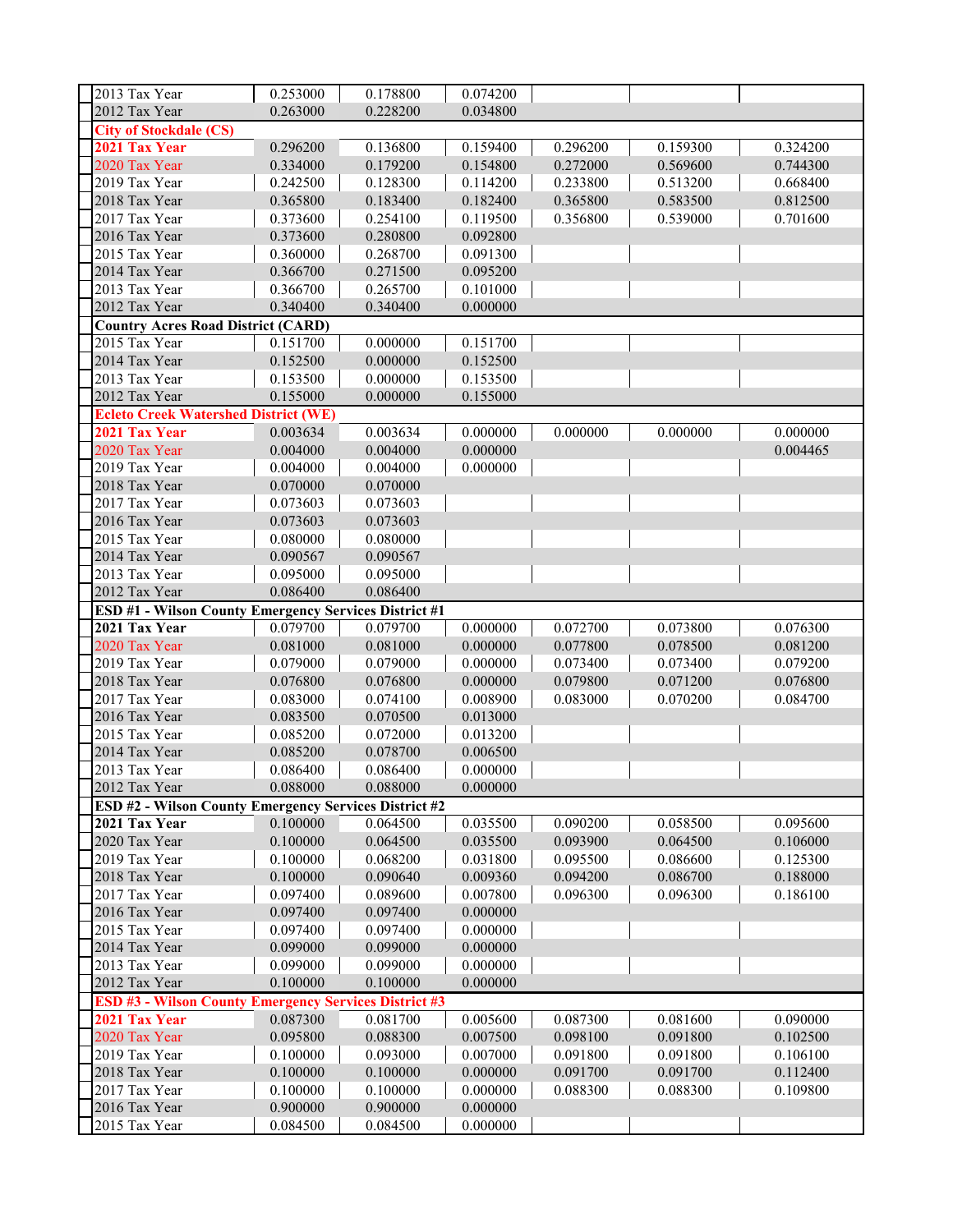| 2013 Tax Year                                                | 0.253000 | 0.178800 | 0.074200 |          |          |          |
|--------------------------------------------------------------|----------|----------|----------|----------|----------|----------|
| 2012 Tax Year                                                | 0.263000 | 0.228200 | 0.034800 |          |          |          |
| <b>City of Stockdale (CS)</b>                                |          |          |          |          |          |          |
| 2021 Tax Year                                                |          |          | 0.159400 |          |          |          |
| 2020 Tax Year                                                | 0.296200 | 0.136800 |          | 0.296200 | 0.159300 | 0.324200 |
|                                                              | 0.334000 | 0.179200 | 0.154800 | 0.272000 | 0.569600 | 0.744300 |
| 2019 Tax Year                                                | 0.242500 | 0.128300 | 0.114200 | 0.233800 | 0.513200 | 0.668400 |
| 2018 Tax Year                                                | 0.365800 | 0.183400 | 0.182400 | 0.365800 | 0.583500 | 0.812500 |
| 2017 Tax Year                                                | 0.373600 | 0.254100 | 0.119500 | 0.356800 | 0.539000 | 0.701600 |
| 2016 Tax Year                                                | 0.373600 | 0.280800 | 0.092800 |          |          |          |
| 2015 Tax Year                                                | 0.360000 | 0.268700 | 0.091300 |          |          |          |
| 2014 Tax Year                                                | 0.366700 | 0.271500 | 0.095200 |          |          |          |
| 2013 Tax Year                                                | 0.366700 | 0.265700 | 0.101000 |          |          |          |
| 2012 Tax Year                                                | 0.340400 | 0.340400 | 0.000000 |          |          |          |
| <b>Country Acres Road District (CARD)</b>                    |          |          |          |          |          |          |
| 2015 Tax Year                                                | 0.151700 | 0.000000 | 0.151700 |          |          |          |
| 2014 Tax Year                                                | 0.152500 | 0.000000 | 0.152500 |          |          |          |
| 2013 Tax Year                                                | 0.153500 | 0.000000 | 0.153500 |          |          |          |
| 2012 Tax Year                                                | 0.155000 | 0.000000 | 0.155000 |          |          |          |
| <b>Ecleto Creek Watershed District (WE)</b>                  |          |          |          |          |          |          |
| 2021 Tax Year                                                | 0.003634 | 0.003634 | 0.000000 | 0.000000 | 0.000000 | 0.000000 |
| 2020 Tax Year                                                | 0.004000 | 0.004000 | 0.000000 |          |          | 0.004465 |
| 2019 Tax Year                                                | 0.004000 | 0.004000 | 0.000000 |          |          |          |
| 2018 Tax Year                                                | 0.070000 | 0.070000 |          |          |          |          |
| 2017 Tax Year                                                | 0.073603 | 0.073603 |          |          |          |          |
| 2016 Tax Year                                                | 0.073603 | 0.073603 |          |          |          |          |
| 2015 Tax Year                                                | 0.080000 | 0.080000 |          |          |          |          |
| 2014 Tax Year                                                | 0.090567 | 0.090567 |          |          |          |          |
| 2013 Tax Year                                                | 0.095000 | 0.095000 |          |          |          |          |
| 2012 Tax Year                                                | 0.086400 | 0.086400 |          |          |          |          |
|                                                              |          |          |          |          |          |          |
| ESD #1 - Wilson County Emergency Services District #1        |          |          |          |          |          |          |
| 2021 Tax Year                                                | 0.079700 | 0.079700 | 0.000000 | 0.072700 | 0.073800 | 0.076300 |
| 2020 Tax Year                                                | 0.081000 | 0.081000 | 0.000000 | 0.077800 | 0.078500 | 0.081200 |
| 2019 Tax Year                                                | 0.079000 | 0.079000 | 0.000000 | 0.073400 | 0.073400 | 0.079200 |
| 2018 Tax Year                                                | 0.076800 | 0.076800 | 0.000000 | 0.079800 | 0.071200 | 0.076800 |
| 2017 Tax Year                                                | 0.083000 | 0.074100 | 0.008900 | 0.083000 | 0.070200 | 0.084700 |
| 2016 Tax Year                                                | 0.083500 | 0.070500 | 0.013000 |          |          |          |
| 2015 Tax Year                                                | 0.085200 | 0.072000 | 0.013200 |          |          |          |
| 2014 Tax Year                                                | 0.085200 | 0.078700 | 0.006500 |          |          |          |
| 2013 Tax Year                                                | 0.086400 | 0.086400 | 0.000000 |          |          |          |
| 2012 Tax Year                                                | 0.088000 | 0.088000 | 0.000000 |          |          |          |
| <b>ESD #2 - Wilson County Emergency Services District #2</b> |          |          |          |          |          |          |
| 2021 Tax Year                                                | 0.100000 | 0.064500 | 0.035500 | 0.090200 | 0.058500 | 0.095600 |
| 2020 Tax Year                                                | 0.100000 | 0.064500 | 0.035500 | 0.093900 | 0.064500 | 0.106000 |
| 2019 Tax Year                                                | 0.100000 | 0.068200 | 0.031800 | 0.095500 | 0.086600 | 0.125300 |
| 2018 Tax Year                                                | 0.100000 | 0.090640 | 0.009360 | 0.094200 | 0.086700 | 0.188000 |
| 2017 Tax Year                                                | 0.097400 | 0.089600 | 0.007800 | 0.096300 | 0.096300 | 0.186100 |
| 2016 Tax Year                                                | 0.097400 | 0.097400 | 0.000000 |          |          |          |
| 2015 Tax Year                                                | 0.097400 | 0.097400 | 0.000000 |          |          |          |
| 2014 Tax Year                                                | 0.099000 | 0.099000 | 0.000000 |          |          |          |
| 2013 Tax Year                                                | 0.099000 | 0.099000 | 0.000000 |          |          |          |
| 2012 Tax Year                                                | 0.100000 | 0.100000 | 0.000000 |          |          |          |
| <b>ESD #3 - Wilson County Emergency Services District #3</b> |          |          |          |          |          |          |
| 2021 Tax Year                                                | 0.087300 | 0.081700 | 0.005600 | 0.087300 | 0.081600 | 0.090000 |
| 2020 Tax Year                                                | 0.095800 | 0.088300 | 0.007500 | 0.098100 | 0.091800 | 0.102500 |
| 2019 Tax Year                                                | 0.100000 | 0.093000 | 0.007000 | 0.091800 | 0.091800 | 0.106100 |
| 2018 Tax Year                                                | 0.100000 | 0.100000 | 0.000000 | 0.091700 | 0.091700 | 0.112400 |
| 2017 Tax Year                                                | 0.100000 | 0.100000 | 0.000000 | 0.088300 | 0.088300 | 0.109800 |
| 2016 Tax Year                                                | 0.900000 | 0.900000 | 0.000000 |          |          |          |
| 2015 Tax Year                                                | 0.084500 | 0.084500 | 0.000000 |          |          |          |
|                                                              |          |          |          |          |          |          |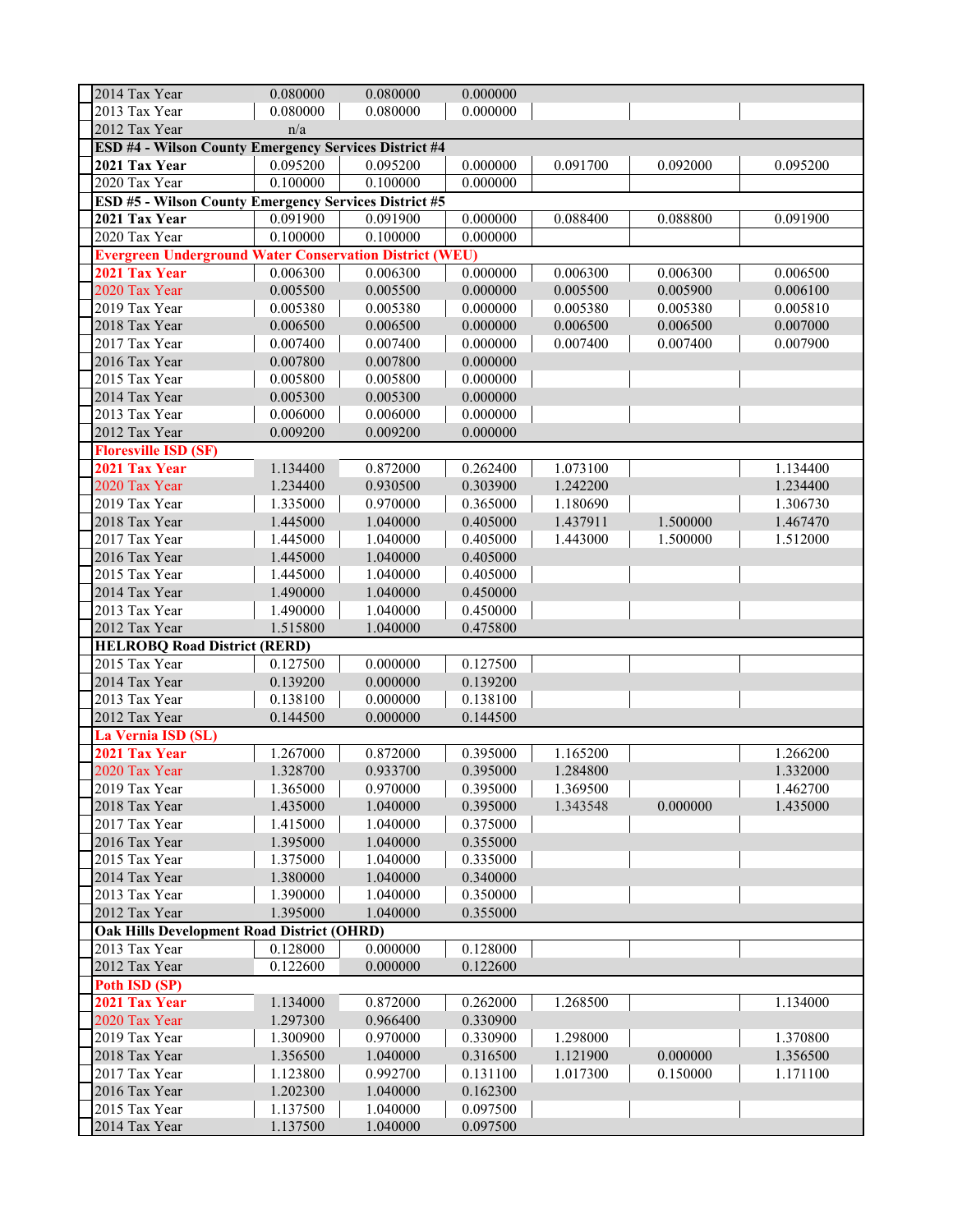| 2014 Tax Year                                                  | 0.080000 | 0.080000 | 0.000000 |          |          |          |  |  |
|----------------------------------------------------------------|----------|----------|----------|----------|----------|----------|--|--|
| 2013 Tax Year                                                  | 0.080000 | 0.080000 | 0.000000 |          |          |          |  |  |
| 2012 Tax Year                                                  | n/a      |          |          |          |          |          |  |  |
| ESD #4 - Wilson County Emergency Services District #4          |          |          |          |          |          |          |  |  |
| 2021 Tax Year                                                  | 0.095200 | 0.095200 | 0.000000 | 0.091700 | 0.092000 | 0.095200 |  |  |
| 2020 Tax Year                                                  | 0.100000 | 0.100000 | 0.000000 |          |          |          |  |  |
| ESD #5 - Wilson County Emergency Services District #5          |          |          |          |          |          |          |  |  |
| 2021 Tax Year                                                  | 0.091900 | 0.091900 | 0.000000 | 0.088400 | 0.088800 | 0.091900 |  |  |
| 2020 Tax Year                                                  | 0.100000 | 0.100000 | 0.000000 |          |          |          |  |  |
| <b>Evergreen Underground Water Conservation District (WEU)</b> |          |          |          |          |          |          |  |  |
| 2021 Tax Year                                                  | 0.006300 | 0.006300 | 0.000000 | 0.006300 | 0.006300 | 0.006500 |  |  |
| 2020 Tax Year                                                  | 0.005500 | 0.005500 | 0.000000 | 0.005500 | 0.005900 | 0.006100 |  |  |
| 2019 Tax Year                                                  | 0.005380 | 0.005380 | 0.000000 | 0.005380 | 0.005380 | 0.005810 |  |  |
| 2018 Tax Year                                                  | 0.006500 | 0.006500 | 0.000000 | 0.006500 | 0.006500 | 0.007000 |  |  |
| 2017 Tax Year                                                  | 0.007400 | 0.007400 | 0.000000 | 0.007400 | 0.007400 | 0.007900 |  |  |
| 2016 Tax Year                                                  | 0.007800 | 0.007800 | 0.000000 |          |          |          |  |  |
| 2015 Tax Year                                                  | 0.005800 | 0.005800 | 0.000000 |          |          |          |  |  |
| 2014 Tax Year                                                  | 0.005300 | 0.005300 | 0.000000 |          |          |          |  |  |
| 2013 Tax Year                                                  | 0.006000 | 0.006000 | 0.000000 |          |          |          |  |  |
| 2012 Tax Year                                                  | 0.009200 | 0.009200 | 0.000000 |          |          |          |  |  |
| <b>Floresville ISD (SF)</b>                                    |          |          |          |          |          |          |  |  |
| 2021 Tax Year                                                  | 1.134400 | 0.872000 | 0.262400 | 1.073100 |          | 1.134400 |  |  |
| 2020 Tax Year                                                  | 1.234400 | 0.930500 | 0.303900 | 1.242200 |          | 1.234400 |  |  |
| 2019 Tax Year                                                  | 1.335000 | 0.970000 | 0.365000 | 1.180690 |          | 1.306730 |  |  |
| 2018 Tax Year                                                  | 1.445000 | 1.040000 | 0.405000 | 1.437911 | 1.500000 | 1.467470 |  |  |
| 2017 Tax Year                                                  | 1.445000 | 1.040000 | 0.405000 | 1.443000 | 1.500000 | 1.512000 |  |  |
| 2016 Tax Year                                                  | 1.445000 | 1.040000 | 0.405000 |          |          |          |  |  |
| 2015 Tax Year                                                  | 1.445000 | 1.040000 | 0.405000 |          |          |          |  |  |
| 2014 Tax Year                                                  | 1.490000 | 1.040000 | 0.450000 |          |          |          |  |  |
| 2013 Tax Year                                                  | 1.490000 | 1.040000 | 0.450000 |          |          |          |  |  |
| 2012 Tax Year                                                  | 1.515800 | 1.040000 | 0.475800 |          |          |          |  |  |
| <b>HELROBQ Road District (RERD)</b>                            |          |          |          |          |          |          |  |  |
| 2015 Tax Year                                                  | 0.127500 | 0.000000 | 0.127500 |          |          |          |  |  |
| 2014 Tax Year                                                  | 0.139200 | 0.000000 | 0.139200 |          |          |          |  |  |
| 2013 Tax Year                                                  | 0.138100 | 0.000000 | 0.138100 |          |          |          |  |  |
| 2012 Tax Year                                                  | 0.144500 | 0.000000 | 0.144500 |          |          |          |  |  |
| La Vernia ISD (SL)                                             |          |          |          |          |          |          |  |  |
| 2021 Tax Year                                                  | 1.267000 | 0.872000 | 0.395000 | 1.165200 |          | 1.266200 |  |  |
| 2020 Tax Year                                                  | 1.328700 | 0.933700 | 0.395000 | 1.284800 |          | 1.332000 |  |  |
| 2019 Tax Year                                                  | 1.365000 | 0.970000 | 0.395000 | 1.369500 |          | 1.462700 |  |  |
| 2018 Tax Year                                                  | 1.435000 | 1.040000 | 0.395000 | 1.343548 | 0.000000 | 1.435000 |  |  |
| 2017 Tax Year                                                  | 1.415000 | 1.040000 | 0.375000 |          |          |          |  |  |
| 2016 Tax Year                                                  | 1.395000 | 1.040000 | 0.355000 |          |          |          |  |  |
| 2015 Tax Year                                                  | 1.375000 | 1.040000 | 0.335000 |          |          |          |  |  |
| 2014 Tax Year                                                  | 1.380000 | 1.040000 | 0.340000 |          |          |          |  |  |
| 2013 Tax Year                                                  | 1.390000 | 1.040000 | 0.350000 |          |          |          |  |  |
| 2012 Tax Year                                                  | 1.395000 | 1.040000 | 0.355000 |          |          |          |  |  |
| <b>Oak Hills Development Road District (OHRD)</b>              |          |          |          |          |          |          |  |  |
| 2013 Tax Year                                                  | 0.128000 | 0.000000 | 0.128000 |          |          |          |  |  |
| 2012 Tax Year                                                  | 0.122600 | 0.000000 | 0.122600 |          |          |          |  |  |
| Poth ISD (SP)                                                  |          |          |          |          |          |          |  |  |
| 2021 Tax Year                                                  | 1.134000 | 0.872000 | 0.262000 | 1.268500 |          | 1.134000 |  |  |
| 2020 Tax Year                                                  | 1.297300 | 0.966400 | 0.330900 |          |          |          |  |  |
| 2019 Tax Year                                                  | 1.300900 | 0.970000 | 0.330900 | 1.298000 |          | 1.370800 |  |  |
| 2018 Tax Year                                                  | 1.356500 | 1.040000 | 0.316500 | 1.121900 | 0.000000 | 1.356500 |  |  |
| 2017 Tax Year                                                  | 1.123800 | 0.992700 | 0.131100 | 1.017300 | 0.150000 | 1.171100 |  |  |
| 2016 Tax Year                                                  | 1.202300 | 1.040000 | 0.162300 |          |          |          |  |  |
| 2015 Tax Year                                                  | 1.137500 | 1.040000 | 0.097500 |          |          |          |  |  |
| 2014 Tax Year                                                  | 1.137500 | 1.040000 | 0.097500 |          |          |          |  |  |
|                                                                |          |          |          |          |          |          |  |  |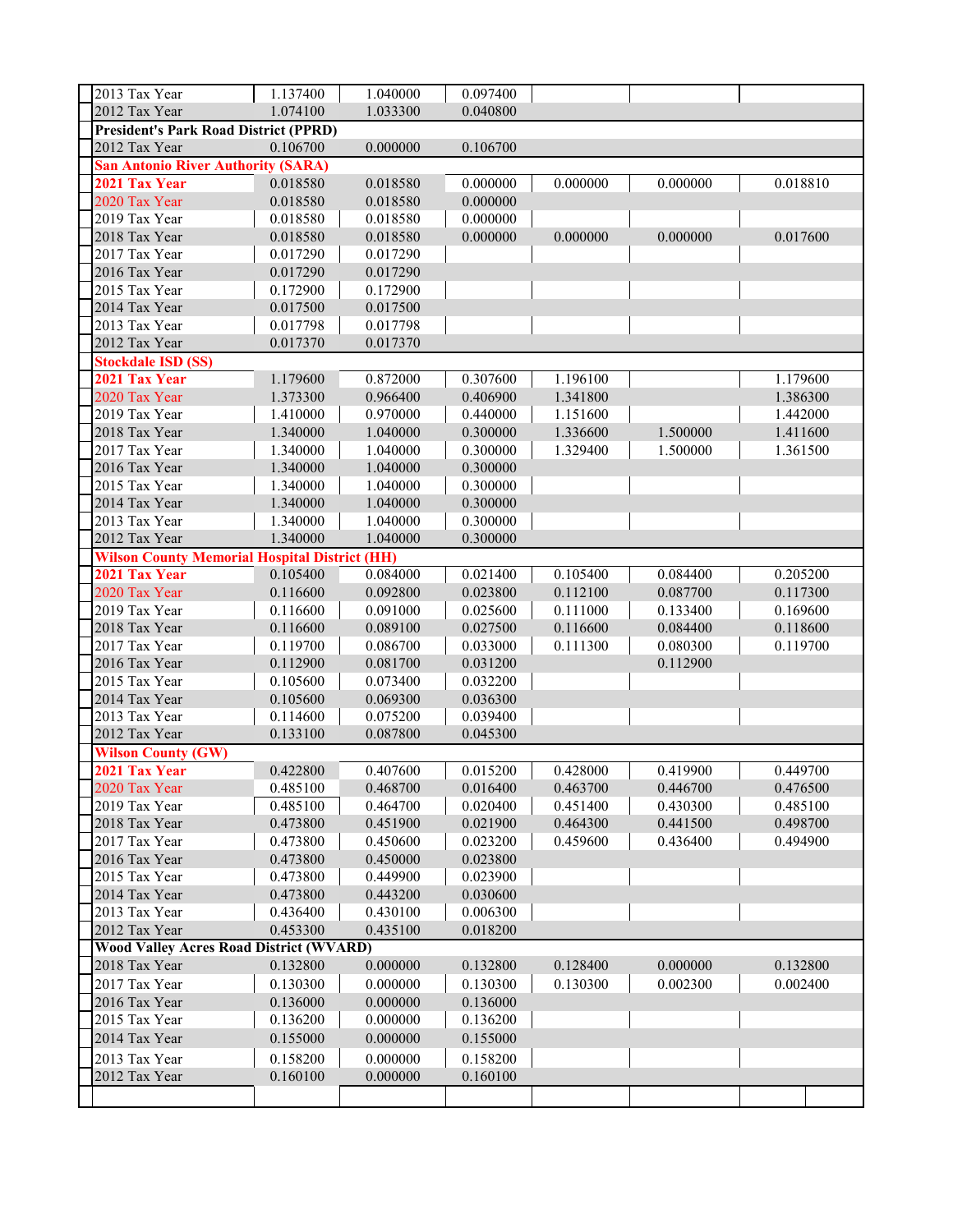| 2013 Tax Year                                        | 1.137400 | 1.040000 | 0.097400 |          |          |          |  |
|------------------------------------------------------|----------|----------|----------|----------|----------|----------|--|
| 2012 Tax Year                                        | 1.074100 | 1.033300 | 0.040800 |          |          |          |  |
| <b>President's Park Road District (PPRD)</b>         |          |          |          |          |          |          |  |
| 2012 Tax Year                                        | 0.106700 | 0.000000 | 0.106700 |          |          |          |  |
| <b>San Antonio River Authority (SARA)</b>            |          |          |          |          |          |          |  |
| 2021 Tax Year                                        | 0.018580 | 0.018580 | 0.000000 | 0.000000 | 0.000000 | 0.018810 |  |
| 2020 Tax Year                                        | 0.018580 | 0.018580 | 0.000000 |          |          |          |  |
| 2019 Tax Year                                        | 0.018580 | 0.018580 | 0.000000 |          |          |          |  |
| 2018 Tax Year                                        | 0.018580 | 0.018580 | 0.000000 | 0.000000 | 0.000000 | 0.017600 |  |
| 2017 Tax Year                                        | 0.017290 | 0.017290 |          |          |          |          |  |
| 2016 Tax Year                                        | 0.017290 | 0.017290 |          |          |          |          |  |
| 2015 Tax Year                                        | 0.172900 | 0.172900 |          |          |          |          |  |
| 2014 Tax Year                                        | 0.017500 | 0.017500 |          |          |          |          |  |
| 2013 Tax Year                                        | 0.017798 | 0.017798 |          |          |          |          |  |
| 2012 Tax Year                                        | 0.017370 | 0.017370 |          |          |          |          |  |
| <b>Stockdale ISD (SS)</b>                            |          |          |          |          |          |          |  |
| 2021 Tax Year                                        | 1.179600 | 0.872000 | 0.307600 | 1.196100 |          | 1.179600 |  |
| 2020 Tax Year                                        | 1.373300 | 0.966400 | 0.406900 | 1.341800 |          | 1.386300 |  |
| 2019 Tax Year                                        | 1.410000 | 0.970000 | 0.440000 | 1.151600 |          | 1.442000 |  |
| 2018 Tax Year                                        | 1.340000 | 1.040000 | 0.300000 | 1.336600 | 1.500000 | 1.411600 |  |
| 2017 Tax Year                                        | 1.340000 | 1.040000 | 0.300000 | 1.329400 | 1.500000 | 1.361500 |  |
| 2016 Tax Year                                        | 1.340000 | 1.040000 | 0.300000 |          |          |          |  |
| 2015 Tax Year                                        | 1.340000 | 1.040000 | 0.300000 |          |          |          |  |
| 2014 Tax Year                                        | 1.340000 | 1.040000 | 0.300000 |          |          |          |  |
| 2013 Tax Year                                        | 1.340000 | 1.040000 | 0.300000 |          |          |          |  |
| 2012 Tax Year                                        | 1.340000 | 1.040000 | 0.300000 |          |          |          |  |
| <b>Wilson County Memorial Hospital District (HH)</b> |          |          |          |          |          |          |  |
| 2021 Tax Year                                        | 0.105400 | 0.084000 | 0.021400 | 0.105400 | 0.084400 | 0.205200 |  |
| 2020 Tax Year                                        | 0.116600 | 0.092800 | 0.023800 | 0.112100 | 0.087700 | 0.117300 |  |
| 2019 Tax Year                                        | 0.116600 | 0.091000 | 0.025600 | 0.111000 | 0.133400 | 0.169600 |  |
| 2018 Tax Year                                        | 0.116600 | 0.089100 | 0.027500 | 0.116600 | 0.084400 | 0.118600 |  |
| 2017 Tax Year                                        | 0.119700 | 0.086700 | 0.033000 | 0.111300 | 0.080300 | 0.119700 |  |
| 2016 Tax Year                                        | 0.112900 | 0.081700 | 0.031200 |          | 0.112900 |          |  |
| 2015 Tax Year                                        | 0.105600 | 0.073400 | 0.032200 |          |          |          |  |
| 2014 Tax Year                                        | 0.105600 | 0.069300 | 0.036300 |          |          |          |  |
| 2013 Tax Year                                        | 0.114600 | 0.075200 | 0.039400 |          |          |          |  |
| 2012 Tax Year                                        | 0.133100 | 0.087800 | 0.045300 |          |          |          |  |
| <b>Wilson County (GW)</b>                            |          |          |          |          |          |          |  |
| 2021 Tax Year                                        | 0.422800 | 0.407600 | 0.015200 | 0.428000 | 0.419900 | 0.449700 |  |
| 2020 Tax Year                                        | 0.485100 | 0.468700 | 0.016400 | 0.463700 | 0.446700 | 0.476500 |  |
| 2019 Tax Year                                        | 0.485100 | 0.464700 | 0.020400 | 0.451400 | 0.430300 | 0.485100 |  |
| 2018 Tax Year                                        | 0.473800 | 0.451900 | 0.021900 | 0.464300 | 0.441500 | 0.498700 |  |
| 2017 Tax Year                                        | 0.473800 | 0.450600 | 0.023200 | 0.459600 | 0.436400 | 0.494900 |  |
| 2016 Tax Year                                        | 0.473800 | 0.450000 | 0.023800 |          |          |          |  |
| 2015 Tax Year                                        | 0.473800 | 0.449900 | 0.023900 |          |          |          |  |
| 2014 Tax Year                                        | 0.473800 | 0.443200 | 0.030600 |          |          |          |  |
| 2013 Tax Year                                        | 0.436400 | 0.430100 | 0.006300 |          |          |          |  |
| 2012 Tax Year                                        | 0.453300 | 0.435100 | 0.018200 |          |          |          |  |
| <b>Wood Valley Acres Road District (WVARD)</b>       |          |          |          |          |          |          |  |
| 2018 Tax Year                                        | 0.132800 | 0.000000 | 0.132800 | 0.128400 | 0.000000 | 0.132800 |  |
| 2017 Tax Year                                        | 0.130300 | 0.000000 | 0.130300 | 0.130300 | 0.002300 | 0.002400 |  |
| 2016 Tax Year                                        | 0.136000 | 0.000000 | 0.136000 |          |          |          |  |
| 2015 Tax Year                                        | 0.136200 | 0.000000 | 0.136200 |          |          |          |  |
| 2014 Tax Year                                        | 0.155000 | 0.000000 | 0.155000 |          |          |          |  |
| 2013 Tax Year                                        | 0.158200 | 0.000000 | 0.158200 |          |          |          |  |
| 2012 Tax Year                                        | 0.160100 | 0.000000 | 0.160100 |          |          |          |  |
|                                                      |          |          |          |          |          |          |  |
|                                                      |          |          |          |          |          |          |  |